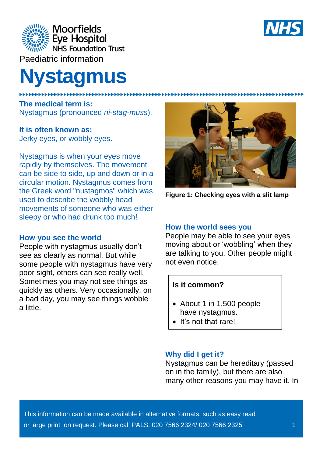

Paediatric information

# **Nystagmus**

**The medical term is:** Nystagmus (pronounced *ni-stag-muss*).

# **It is often known as:**

Jerky eyes, or wobbly eyes.

Nystagmus is when your eyes move rapidly by themselves. The movement can be side to side, up and down or in a circular motion. Nystagmus comes from the Greek word "nustagmos" which was used to describe the wobbly head movements of someone who was either sleepy or who had drunk too much!

# **How you see the world**

People with nystagmus usually don't see as clearly as normal. But while some people with nystagmus have very poor sight, others can see really well. Sometimes you may not see things as quickly as others. Very occasionally, on a bad day, you may see things wobble a little.



**Figure 1: Checking eyes with a slit lamp** 

#### **How the world sees you**

People may be able to see your eyes moving about or 'wobbling' when they are talking to you. Other people might not even notice.

# **Is it common?**

- About 1 in 1,500 people have nystagmus.
- It's not that rare!

#### **Why did I get it?**

Nystagmus can be hereditary (passed on in the family), but there are also many other reasons you may have it. In

This information can be made available in alternative formats, such as easy read or large print on request. Please call PALS: 020 7566 2324/ 020 7566 2325 1

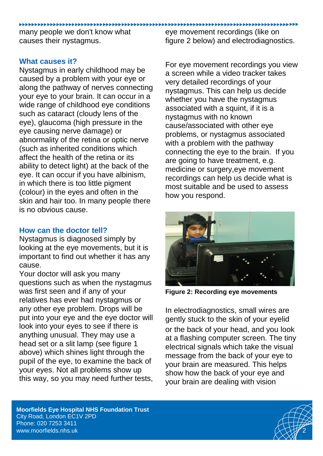many people we don't know what causes their nystagmus.

eye movement recordings (like on figure 2 below) and electrodiagnostics.

# **What causes it?**

Nystagmus in early childhood may be caused by a problem with your eye or along the pathway of nerves connecting your eye to your brain. It can occur in a wide range of childhood eye conditions such as cataract (cloudy lens of the eye), glaucoma (high pressure in the eye causing nerve damage) or abnormality of the retina or optic nerve (such as inherited conditions which affect the health of the retina or its ability to detect light) at the back of the eye. It can occur if you have albinism, in which there is too little pigment (colour) in the eyes and often in the skin and hair too. In many people there is no obvious cause.

# **How can the doctor tell?**

Nystagmus is diagnosed simply by looking at the eye movements, but it is important to find out whether it has any cause.

Your doctor will ask you many questions such as when the nystagmus was first seen and if any of your relatives has ever had nystagmus or any other eye problem. Drops will be put into your eye and the eye doctor will look into your eyes to see if there is anything unusual. They may use a head set or a slit lamp (see figure 1 above) which shines light through the pupil of the eye, to examine the back of your eyes. Not all problems show up this way, so you may need further tests,

For eye movement recordings you view a screen while a video tracker takes very detailed recordings of your nystagmus. This can help us decide whether you have the nystagmus associated with a squint, if it is a nystagmus with no known cause/associated with other eye problems, or nystagmus associated with a problem with the pathway connecting the eye to the brain. If you are going to have treatment, e.g. medicine or surgery,eye movement recordings can help us decide what is most suitable and be used to assess how you respond.



**Figure 2: Recording eye movements**

In electrodiagnostics, small wires are gently stuck to the skin of your eyelid or the back of your head, and you look at a flashing computer screen. The tiny electrical signals which take the visual message from the back of your eye to your brain are measured. This helps show how the back of your eye and your brain are dealing with vision

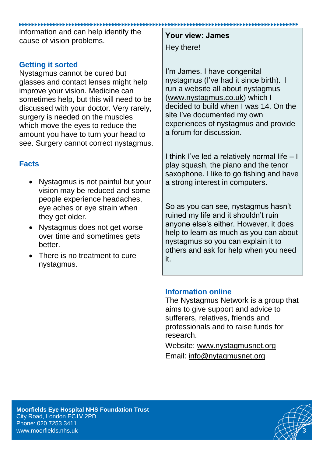information and can help identify the cause of vision problems.

# **Getting it sorted**

Nystagmus cannot be cured but glasses and contact lenses might help improve your vision. Medicine can sometimes help, but this will need to be discussed with your doctor. Very rarely, surgery is needed on the muscles which move the eyes to reduce the amount you have to turn your head to see. Surgery cannot correct nystagmus.

# **Facts**

- Nystagmus is not painful but your vision may be reduced and some people experience headaches, eye aches or eye strain when they get older.
- Nystagmus does not get worse over time and sometimes gets better.
- There is no treatment to cure nystagmus.

**Your view: James** Hey there!

I'm James. I have congenital nystagmus (I've had it since birth). I run a website all about nystagmus [\(www.nystagmus.co.uk\)](http://www.nystagmus.co.uk/) which I decided to build when I was 14. On the site I've documented my own experiences of nystagmus and provide a forum for discussion.

I think I've led a relatively normal life – I play squash, the piano and the tenor saxophone. I like to go fishing and have a strong interest in computers.

So as you can see, nystagmus hasn't ruined my life and it shouldn't ruin anyone else's either. However, it does help to learn as much as you can about nystagmus so you can explain it to others and ask for help when you need it.

# **Information online**

The Nystagmus Network is a group that aims to give support and advice to sufferers, relatives, friends and professionals and to raise funds for research.

Website: [www.nystagmusnet.org](http://www.nystagmusnet.org/) Email: [info@nytagmusnet.org](mailto:info@nytagmusnet.org)